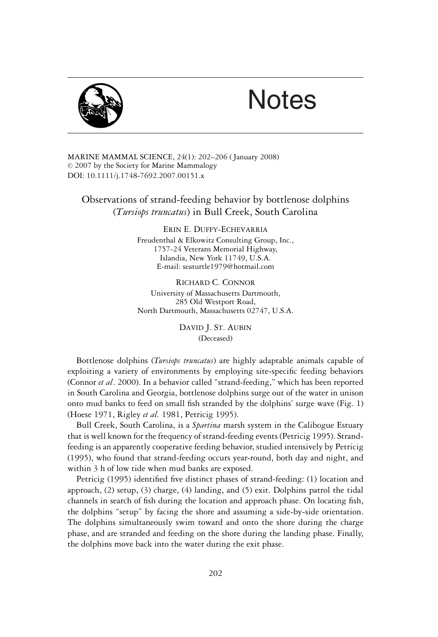

## **Notes**

MARINE MAMMAL SCIENCE, 24(1): 202–206 ( January 2008)  $© 2007$  by the Society for Marine Mammalogy DOI: 10.1111/j.1748-7692.2007.00151.x

Observations of strand-feeding behavior by bottlenose dolphins (*Tursiops truncatus*) in Bull Creek, South Carolina

> ERIN E. DUFFY-ECHEVARRIA Freudenthal & Elkowitz Consulting Group, Inc., 1757-24 Veterans Memorial Highway, Islandia, New York 11749, U.S.A. E-mail: seaturtle1979@hotmail.com

> RICHARD C. CONNOR University of Massachusetts Dartmouth, 285 Old Westport Road, North Dartmouth, Massachusetts 02747, U.S.A.

> > DAVID J. ST. AUBIN (Deceased)

Bottlenose dolphins (*Tursiops truncatus*) are highly adaptable animals capable of exploiting a variety of environments by employing site-specific feeding behaviors (Connor *et al*. 2000). In a behavior called "strand-feeding," which has been reported in South Carolina and Georgia, bottlenose dolphins surge out of the water in unison onto mud banks to feed on small fish stranded by the dolphins' surge wave (Fig. 1) (Hoese 1971, Rigley *et al.* 1981, Petricig 1995).

Bull Creek, South Carolina, is a *Spartina* marsh system in the Calibogue Estuary that is well known for the frequency of strand-feeding events (Petricig 1995). Strandfeeding is an apparently cooperative feeding behavior, studied intensively by Petricig (1995), who found that strand-feeding occurs year-round, both day and night, and within 3 h of low tide when mud banks are exposed.

Petricig (1995) identified five distinct phases of strand-feeding: (1) location and approach, (2) setup, (3) charge, (4) landing, and (5) exit. Dolphins patrol the tidal channels in search of fish during the location and approach phase. On locating fish, the dolphins "setup" by facing the shore and assuming a side-by-side orientation. The dolphins simultaneously swim toward and onto the shore during the charge phase, and are stranded and feeding on the shore during the landing phase. Finally, the dolphins move back into the water during the exit phase.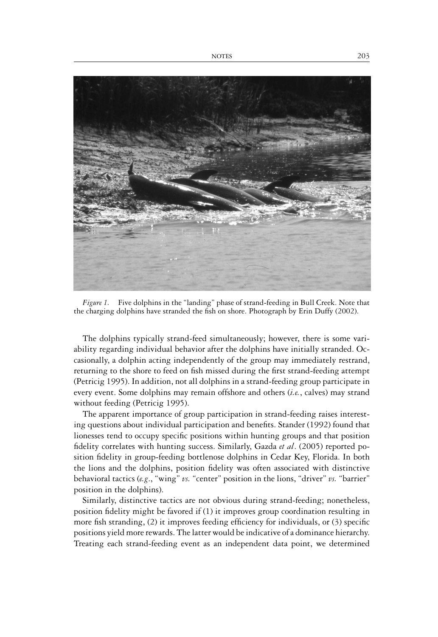

*Figure 1.* Five dolphins in the "landing" phase of strand-feeding in Bull Creek. Note that the charging dolphins have stranded the fish on shore. Photograph by Erin Duffy (2002).

The dolphins typically strand-feed simultaneously; however, there is some variability regarding individual behavior after the dolphins have initially stranded. Occasionally, a dolphin acting independently of the group may immediately restrand, returning to the shore to feed on fish missed during the first strand-feeding attempt (Petricig 1995). In addition, not all dolphins in a strand-feeding group participate in every event. Some dolphins may remain offshore and others (*i.e.*, calves) may strand without feeding (Petricig 1995).

The apparent importance of group participation in strand-feeding raises interesting questions about individual participation and benefits. Stander (1992) found that lionesses tend to occupy specific positions within hunting groups and that position fidelity correlates with hunting success. Similarly, Gazda *et al*. (2005) reported position fidelity in group-feeding bottlenose dolphins in Cedar Key, Florida. In both the lions and the dolphins, position fidelity was often associated with distinctive behavioral tactics (*e.g*., "wing" *vs.* "center" position in the lions, "driver" *vs.* "barrier" position in the dolphins).

Similarly, distinctive tactics are not obvious during strand-feeding; nonetheless, position fidelity might be favored if (1) it improves group coordination resulting in more fish stranding, (2) it improves feeding efficiency for individuals, or (3) specific positions yield more rewards. The latter would be indicative of a dominance hierarchy. Treating each strand-feeding event as an independent data point, we determined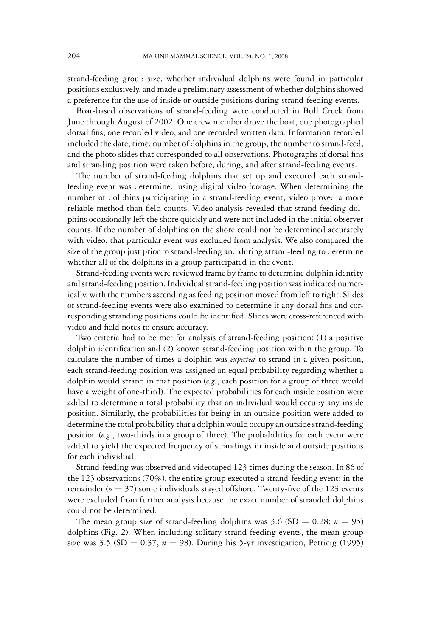strand-feeding group size, whether individual dolphins were found in particular positions exclusively, and made a preliminary assessment of whether dolphins showed a preference for the use of inside or outside positions during strand-feeding events.

Boat-based observations of strand-feeding were conducted in Bull Creek from June through August of 2002. One crew member drove the boat, one photographed dorsal fins, one recorded video, and one recorded written data. Information recorded included the date, time, number of dolphins in the group, the number to strand-feed, and the photo slides that corresponded to all observations. Photographs of dorsal fins and stranding position were taken before, during, and after strand-feeding events.

The number of strand-feeding dolphins that set up and executed each strandfeeding event was determined using digital video footage. When determining the number of dolphins participating in a strand-feeding event, video proved a more reliable method than field counts. Video analysis revealed that strand-feeding dolphins occasionally left the shore quickly and were not included in the initial observer counts. If the number of dolphins on the shore could not be determined accurately with video, that particular event was excluded from analysis. We also compared the size of the group just prior to strand-feeding and during strand-feeding to determine whether all of the dolphins in a group participated in the event.

Strand-feeding events were reviewed frame by frame to determine dolphin identity and strand-feeding position. Individual strand-feeding position was indicated numerically, with the numbers ascending as feeding position moved from left to right. Slides of strand-feeding events were also examined to determine if any dorsal fins and corresponding stranding positions could be identified. Slides were cross-referenced with video and field notes to ensure accuracy.

Two criteria had to be met for analysis of strand-feeding position: (1) a positive dolphin identification and (2) known strand-feeding position within the group. To calculate the number of times a dolphin was *expected* to strand in a given position, each strand-feeding position was assigned an equal probability regarding whether a dolphin would strand in that position (*e.g.*, each position for a group of three would have a weight of one-third). The expected probabilities for each inside position were added to determine a total probability that an individual would occupy any inside position. Similarly, the probabilities for being in an outside position were added to determine the total probability that a dolphin would occupy an outside strand-feeding position (*e.g*., two-thirds in a group of three). The probabilities for each event were added to yield the expected frequency of strandings in inside and outside positions for each individual.

Strand-feeding was observed and videotaped 123 times during the season. In 86 of the 123 observations (70%), the entire group executed a strand-feeding event; in the remainder (*n* = 37) some individuals stayed offshore. Twenty-five of the 123 events were excluded from further analysis because the exact number of stranded dolphins could not be determined.

The mean group size of strand-feeding dolphins was  $3.6$  (SD = 0.28;  $n = 95$ ) dolphins (Fig. 2). When including solitary strand-feeding events, the mean group size was 3.5 (SD =  $0.37$ ,  $n = 98$ ). During his 5-yr investigation, Petricig (1995)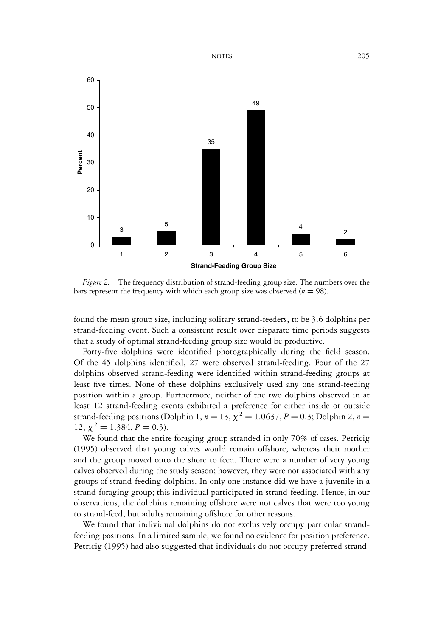

*Figure 2.* The frequency distribution of strand-feeding group size. The numbers over the bars represent the frequency with which each group size was observed ( $n = 98$ ).

found the mean group size, including solitary strand-feeders, to be 3.6 dolphins per strand-feeding event. Such a consistent result over disparate time periods suggests that a study of optimal strand-feeding group size would be productive.

Forty-five dolphins were identified photographically during the field season. Of the 45 dolphins identified, 27 were observed strand-feeding. Four of the 27 dolphins observed strand-feeding were identified within strand-feeding groups at least five times. None of these dolphins exclusively used any one strand-feeding position within a group. Furthermore, neither of the two dolphins observed in at least 12 strand-feeding events exhibited a preference for either inside or outside strand-feeding positions (Dolphin 1,  $n = 13$ ,  $\chi^2 = 1.0637$ ,  $P = 0.3$ ; Dolphin 2,  $n =$ 12,  $\chi^2 = 1.384, P = 0.3$ ).

We found that the entire foraging group stranded in only 70% of cases. Petricig (1995) observed that young calves would remain offshore, whereas their mother and the group moved onto the shore to feed. There were a number of very young calves observed during the study season; however, they were not associated with any groups of strand-feeding dolphins. In only one instance did we have a juvenile in a strand-foraging group; this individual participated in strand-feeding. Hence, in our observations, the dolphins remaining offshore were not calves that were too young to strand-feed, but adults remaining offshore for other reasons.

We found that individual dolphins do not exclusively occupy particular strandfeeding positions. In a limited sample, we found no evidence for position preference. Petricig (1995) had also suggested that individuals do not occupy preferred strand